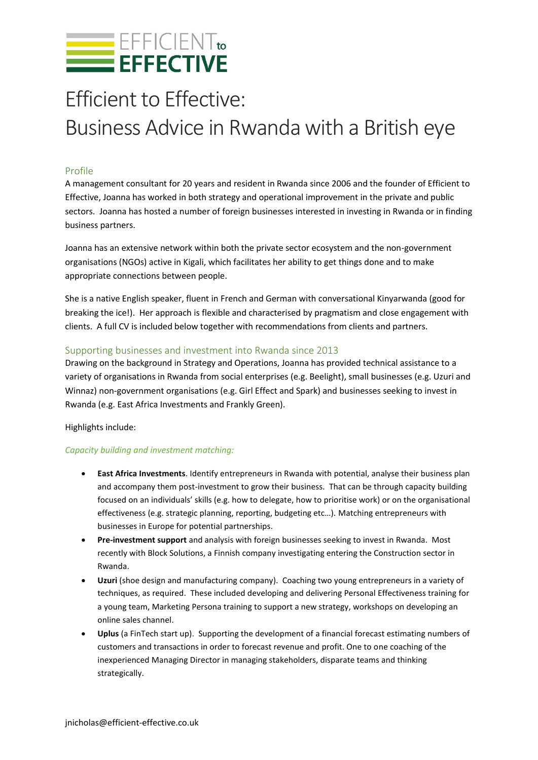

# Efficient to Effective: Business Advice in Rwanda with a British eye

#### Profile

A management consultant for 20 years and resident in Rwanda since 2006 and the founder of Efficient to Effective, Joanna has worked in both strategy and operational improvement in the private and public sectors. Joanna has hosted a number of foreign businesses interested in investing in Rwanda or in finding business partners.

Joanna has an extensive network within both the private sector ecosystem and the non-government organisations (NGOs) active in Kigali, which facilitates her ability to get things done and to make appropriate connections between people.

She is a native English speaker, fluent in French and German with conversational Kinyarwanda (good for breaking the ice!). Her approach is flexible and characterised by pragmatism and close engagement with clients. A full CV is included below together with recommendations from clients and partners.

#### Supporting businesses and investment into Rwanda since 2013

Drawing on the background in Strategy and Operations, Joanna has provided technical assistance to a variety of organisations in Rwanda from social enterprises (e.g. Beelight), small businesses (e.g. Uzuri and Winnaz) non-government organisations (e.g. Girl Effect and Spark) and businesses seeking to invest in Rwanda (e.g. East Africa Investments and Frankly Green).

Highlights include:

#### *Capacity building and investment matching:*

- **East Africa Investments**. Identify entrepreneurs in Rwanda with potential, analyse their business plan and accompany them post-investment to grow their business. That can be through capacity building focused on an individuals' skills (e.g. how to delegate, how to prioritise work) or on the organisational effectiveness (e.g. strategic planning, reporting, budgeting etc…). Matching entrepreneurs with businesses in Europe for potential partnerships.
- **Pre-investment support** and analysis with foreign businesses seeking to invest in Rwanda. Most recently with Block Solutions, a Finnish company investigating entering the Construction sector in Rwanda.
- **Uzuri** (shoe design and manufacturing company). Coaching two young entrepreneurs in a variety of techniques, as required. These included developing and delivering Personal Effectiveness training for a young team, Marketing Persona training to support a new strategy, workshops on developing an online sales channel.
- **Uplus** (a FinTech start up). Supporting the development of a financial forecast estimating numbers of customers and transactions in order to forecast revenue and profit. One to one coaching of the inexperienced Managing Director in managing stakeholders, disparate teams and thinking strategically.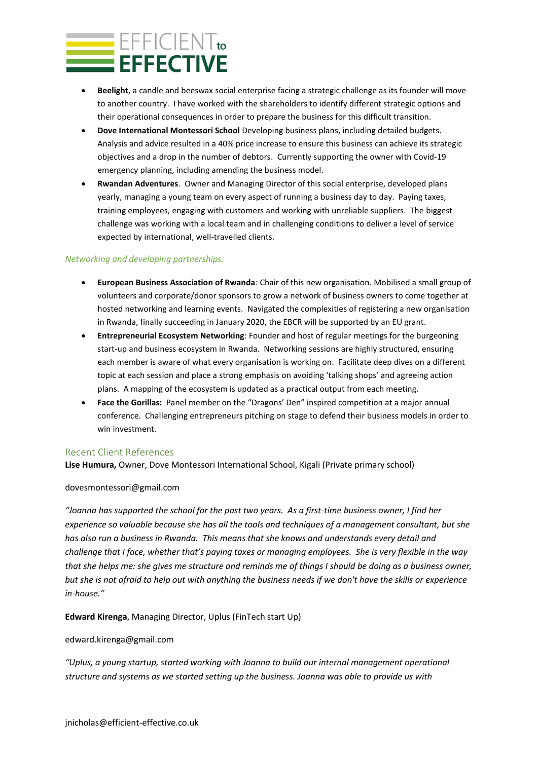

- **Beelight**, a candle and beeswax social enterprise facing a strategic challenge as its founder will move to another country. I have worked with the shareholders to identify different strategic options and their operational consequences in order to prepare the business for this difficult transition.
- **Dove International Montessori School** Developing business plans, including detailed budgets. Analysis and advice resulted in a 40% price increase to ensure this business can achieve its strategic objectives and a drop in the number of debtors. Currently supporting the owner with Covid-19 emergency planning, including amending the business model.
- **Rwandan Adventures**. Owner and Managing Director of this social enterprise, developed plans yearly, managing a young team on every aspect of running a business day to day. Paying taxes, training employees, engaging with customers and working with unreliable suppliers. The biggest challenge was working with a local team and in challenging conditions to deliver a level of service expected by international, well-travelled clients.

#### *Networking and developing partnerships:*

- **European Business Association of Rwanda**: Chair of this new organisation. Mobilised a small group of volunteers and corporate/donor sponsors to grow a network of business owners to come together at hosted networking and learning events. Navigated the complexities of registering a new organisation in Rwanda, finally succeeding in January 2020, the EBCR will be supported by an EU grant.
- **Entrepreneurial Ecosystem Networking**: Founder and host of regular meetings for the burgeoning start-up and business ecosystem in Rwanda. Networking sessions are highly structured, ensuring each member is aware of what every organisation is working on. Facilitate deep dives on a different topic at each session and place a strong emphasis on avoiding 'talking shops' and agreeing action plans. A mapping of the ecosystem is updated as a practical output from each meeting.
- **Face the Gorillas:** Panel member on the "Dragons' Den" inspired competition at a major annual conference. Challenging entrepreneurs pitching on stage to defend their business models in order to win investment.

#### Recent Client References

**Lise Humura,** Owner, Dove Montessori International School, Kigali (Private primary school)

#### dovesmontessori@gmail.com

*"Joanna has supported the school for the past two years. As a first-time business owner, I find her experience so valuable because she has all the tools and techniques of a management consultant, but she has also run a business in Rwanda. This means that she knows and understands every detail and challenge that I face, whether that's paying taxes or managing employees. She is very flexible in the way that she helps me: she gives me structure and reminds me of things I should be doing as a business owner, but she is not afraid to help out with anything the business needs if we don't have the skills or experience in-house."*

**Edward Kirenga**, Managing Director, Uplus (FinTech start Up)

#### edward.kirenga@gmail.com

*"Uplus, a young startup, started working with Joanna to build our internal management operational structure and systems as we started setting up the business. Joanna was able to provide us with*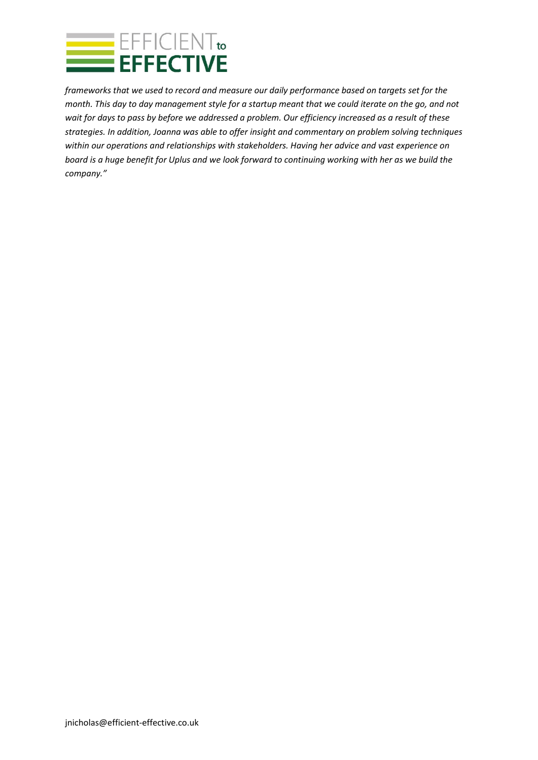

*frameworks that we used to record and measure our daily performance based on targets set for the month. This day to day management style for a startup meant that we could iterate on the go, and not wait for days to pass by before we addressed a problem. Our efficiency increased as a result of these strategies. In addition, Joanna was able to offer insight and commentary on problem solving techniques within our operations and relationships with stakeholders. Having her advice and vast experience on board is a huge benefit for Uplus and we look forward to continuing working with her as we build the company."*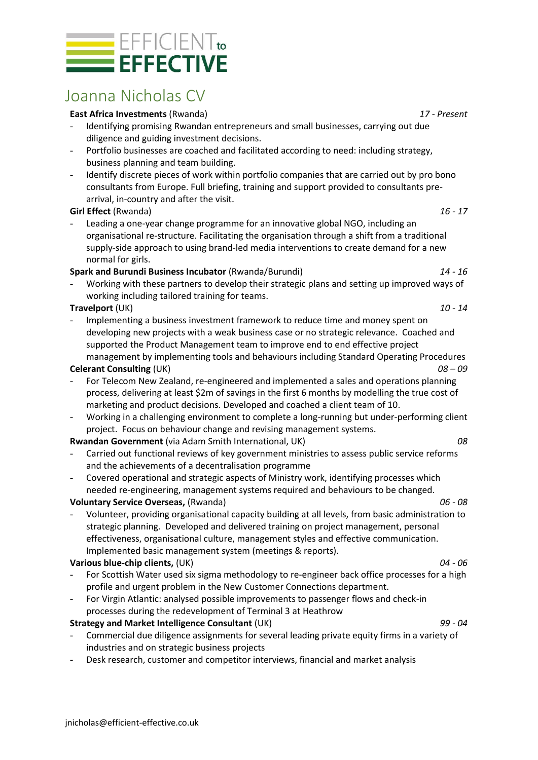

# Joanna Nicholas CV

#### **East Africa Investments** (Rwanda) *17 - Present*

- Identifying promising Rwandan entrepreneurs and small businesses, carrying out due diligence and guiding investment decisions.
- Portfolio businesses are coached and facilitated according to need: including strategy, business planning and team building.
- Identify discrete pieces of work within portfolio companies that are carried out by pro bono consultants from Europe. Full briefing, training and support provided to consultants prearrival, in-country and after the visit.

# **Girl Effect** (Rwanda) *16 - 17*

Leading a one-year change programme for an innovative global NGO, including an organisational re-structure. Facilitating the organisation through a shift from a traditional supply-side approach to using brand-led media interventions to create demand for a new normal for girls.

# **Spark and Burundi Business Incubator** (Rwanda/Burundi) *14 - 16*

Working with these partners to develop their strategic plans and setting up improved ways of working including tailored training for teams.

# **Travelport** (UK) *10 - 14*

- Implementing a business investment framework to reduce time and money spent on developing new projects with a weak business case or no strategic relevance. Coached and supported the Product Management team to improve end to end effective project management by implementing tools and behaviours including Standard Operating Procedures

# **Celerant Consulting** (UK) *08 – 09*

- For Telecom New Zealand, re-engineered and implemented a sales and operations planning process, delivering at least \$2m of savings in the first 6 months by modelling the true cost of marketing and product decisions. Developed and coached a client team of 10.
- Working in a challenging environment to complete a long-running but under-performing client project. Focus on behaviour change and revising management systems.

# **Rwandan Government** (via Adam Smith International, UK) *08*

- Carried out functional reviews of key government ministries to assess public service reforms and the achievements of a decentralisation programme
- Covered operational and strategic aspects of Ministry work, identifying processes which needed re-engineering, management systems required and behaviours to be changed.

# **Voluntary Service Overseas,** (Rwanda) *06 - 08*

- Volunteer, providing organisational capacity building at all levels, from basic administration to strategic planning. Developed and delivered training on project management, personal effectiveness, organisational culture, management styles and effective communication. Implemented basic management system (meetings & reports).

# **Various blue-chip clients,** (UK) *04 - 06*

- For Scottish Water used six sigma methodology to re-engineer back office processes for a high profile and urgent problem in the New Customer Connections department.
- For Virgin Atlantic: analysed possible improvements to passenger flows and check-in processes during the redevelopment of Terminal 3 at Heathrow

# **Strategy and Market Intelligence Consultant** (UK) *99 - 04*

- Commercial due diligence assignments for several leading private equity firms in a variety of industries and on strategic business projects
- Desk research, customer and competitor interviews, financial and market analysis